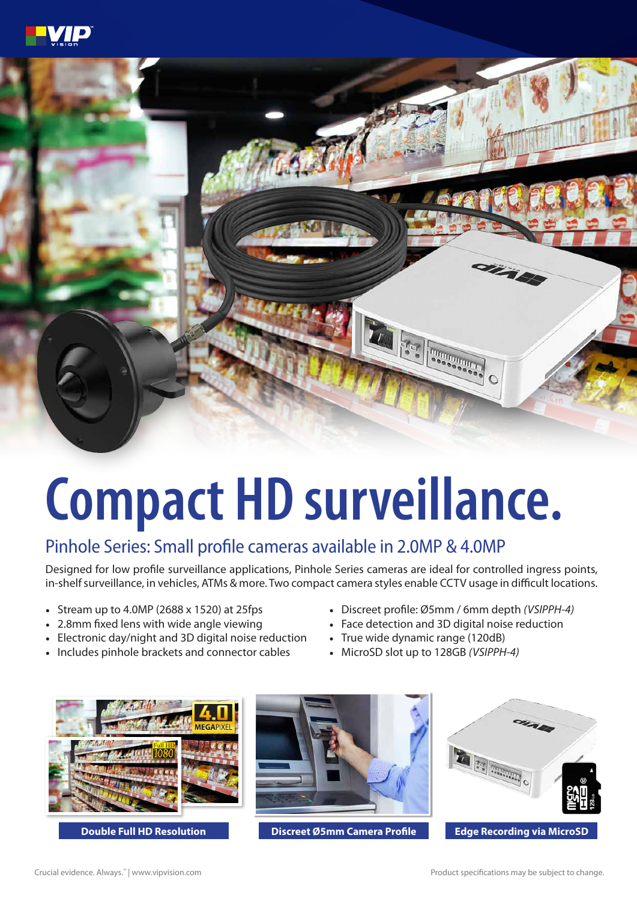



## **Compact HD surveillance.**

## Pinhole Series: Small profile cameras available in 2.0MP & 4.0MP

Designed for low profile surveillance applications, Pinhole Series cameras are ideal for controlled ingress points, in-shelf surveillance, in vehicles, ATMs & more. Two compact camera styles enable CCTV usage in difficult locations.

- Stream up to 4.0MP (2688 x 1520) at 25fps
- 2.8mm fixed lens with wide angle viewing
- Electronic day/night and 3D digital noise reduction
- Includes pinhole brackets and connector cables
- Discreet profile: Ø5mm / 6mm depth *(VSIPPH-4)*
- Face detection and 3D digital noise reduction
- True wide dynamic range (120dB)
- MicroSD slot up to 128GB *(VSIPPH-4)*